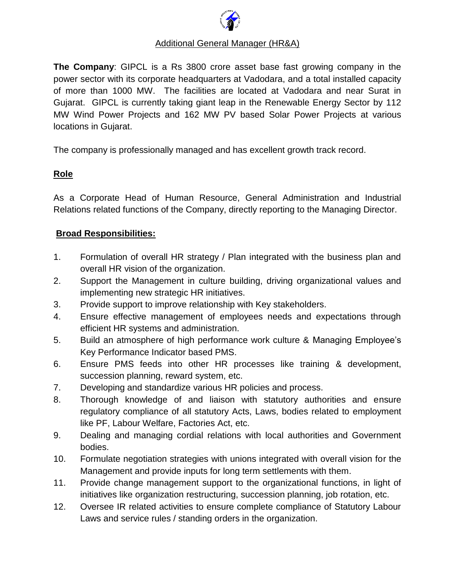

## Additional General Manager (HR&A)

**The Company**: GIPCL is a Rs 3800 crore asset base fast growing company in the power sector with its corporate headquarters at Vadodara, and a total installed capacity of more than 1000 MW. The facilities are located at Vadodara and near Surat in Gujarat. GIPCL is currently taking giant leap in the Renewable Energy Sector by 112 MW Wind Power Projects and 162 MW PV based Solar Power Projects at various locations in Gujarat.

The company is professionally managed and has excellent growth track record.

## **Role**

As a Corporate Head of Human Resource, General Administration and Industrial Relations related functions of the Company, directly reporting to the Managing Director.

## **Broad Responsibilities:**

- 1. Formulation of overall HR strategy / Plan integrated with the business plan and overall HR vision of the organization.
- 2. Support the Management in culture building, driving organizational values and implementing new strategic HR initiatives.
- 3. Provide support to improve relationship with Key stakeholders.
- 4. Ensure effective management of employees needs and expectations through efficient HR systems and administration.
- 5. Build an atmosphere of high performance work culture & Managing Employee's Key Performance Indicator based PMS.
- 6. Ensure PMS feeds into other HR processes like training & development, succession planning, reward system, etc.
- 7. Developing and standardize various HR policies and process.
- 8. Thorough knowledge of and liaison with statutory authorities and ensure regulatory compliance of all statutory Acts, Laws, bodies related to employment like PF, Labour Welfare, Factories Act, etc.
- 9. Dealing and managing cordial relations with local authorities and Government bodies.
- 10. Formulate negotiation strategies with unions integrated with overall vision for the Management and provide inputs for long term settlements with them.
- 11. Provide change management support to the organizational functions, in light of initiatives like organization restructuring, succession planning, job rotation, etc.
- 12. Oversee IR related activities to ensure complete compliance of Statutory Labour Laws and service rules / standing orders in the organization.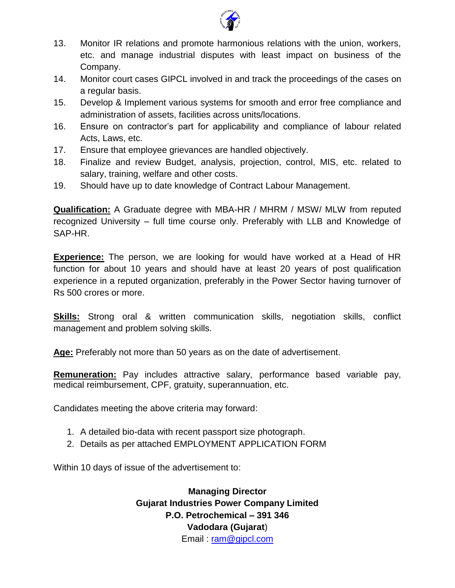

- 13. Monitor IR relations and promote harmonious relations with the union, workers, etc. and manage industrial disputes with least impact on business of the Company.
- 14. Monitor court cases GIPCL involved in and track the proceedings of the cases on a regular basis.
- 15. Develop & Implement various systems for smooth and error free compliance and administration of assets, facilities across units/locations.
- 16. Ensure on contractor's part for applicability and compliance of labour related Acts, Laws, etc.
- 17. Ensure that employee grievances are handled objectively.
- 18. Finalize and review Budget, analysis, projection, control, MIS, etc. related to salary, training, welfare and other costs.
- 19. Should have up to date knowledge of Contract Labour Management.

**Qualification:** A Graduate degree with MBA-HR / MHRM / MSW/ MLW from reputed recognized University – full time course only. Preferably with LLB and Knowledge of SAP-HR.

**Experience:** The person, we are looking for would have worked at a Head of HR function for about 10 years and should have at least 20 years of post qualification experience in a reputed organization, preferably in the Power Sector having turnover of Rs 500 crores or more.

**Skills:** Strong oral & written communication skills, negotiation skills, conflict management and problem solving skills.

**Age:** Preferably not more than 50 years as on the date of advertisement.

**Remuneration:** Pay includes attractive salary, performance based variable pay, medical reimbursement, CPF, gratuity, superannuation, etc.

Candidates meeting the above criteria may forward:

- 1. A detailed bio-data with recent passport size photograph.
- 2. Details as per attached EMPLOYMENT APPLICATION FORM

Within 10 days of issue of the advertisement to:

**Managing Director Gujarat Industries Power Company Limited P.O. Petrochemical – 391 346 Vadodara (Gujarat**) Email : [ram@gipcl.com](mailto:ram@gipcl.com)